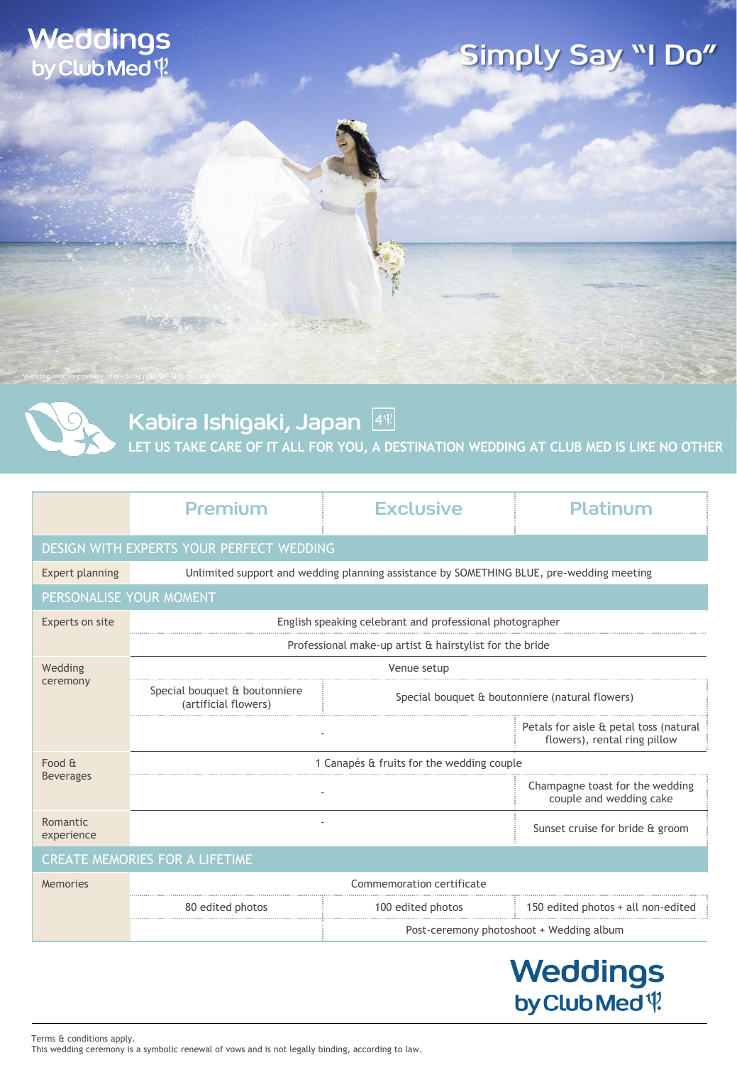### **Weddings** by Club Med \?

# Simply Say "I Do"



Wedding images courtesy of Wedding planner: THE SE7EN AGENCY

Kabira Ishigaki, Japan  $[4]$ 

**LET US TAKE CARE OF IT ALL FOR YOU, A DESTINATION WEDDING AT CLUB MED IS LIKE NO OTHER**

|                                          | Premium                                                                                  | <b>Exclusive</b>                                | Platinum                                                               |  |  |
|------------------------------------------|------------------------------------------------------------------------------------------|-------------------------------------------------|------------------------------------------------------------------------|--|--|
| DESIGN WITH EXPERTS YOUR PERFECT WEDDING |                                                                                          |                                                 |                                                                        |  |  |
| <b>Expert planning</b>                   | Unlimited support and wedding planning assistance by SOMETHING BLUE, pre-wedding meeting |                                                 |                                                                        |  |  |
| PERSONALISE YOUR MOMENT                  |                                                                                          |                                                 |                                                                        |  |  |
| Experts on site                          | English speaking celebrant and professional photographer                                 |                                                 |                                                                        |  |  |
|                                          | Professional make-up artist & hairstylist for the bride                                  |                                                 |                                                                        |  |  |
| Wedding<br>ceremony                      | Venue setup                                                                              |                                                 |                                                                        |  |  |
|                                          | Special bouquet & boutonniere<br>(artificial flowers)                                    | Special bouquet & boutonniere (natural flowers) |                                                                        |  |  |
|                                          |                                                                                          |                                                 | Petals for aisle & petal toss (natural<br>flowers), rental ring pillow |  |  |
| Food &<br><b>Beverages</b>               | 1 Canapés & fruits for the wedding couple                                                |                                                 |                                                                        |  |  |
|                                          |                                                                                          |                                                 | Champagne toast for the wedding<br>couple and wedding cake             |  |  |
| Romantic<br>experience                   |                                                                                          |                                                 | Sunset cruise for bride & groom                                        |  |  |
| <b>CREATE MEMORIES FOR A LIFETIME</b>    |                                                                                          |                                                 |                                                                        |  |  |
| <b>Memories</b>                          | Commemoration certificate                                                                |                                                 |                                                                        |  |  |
|                                          |                                                                                          |                                                 |                                                                        |  |  |

| 80 edited photos | 100 edited photos                        | 150 edited photos $+$ all non-edited |  |
|------------------|------------------------------------------|--------------------------------------|--|
|                  | Post-ceremony photoshoot + Wedding album |                                      |  |

## **Weddings** by Club Med<sup>q</sup>

Terms & conditions apply. This wedding ceremony is a symbolic renewal of vows and is not legally binding, according to law.